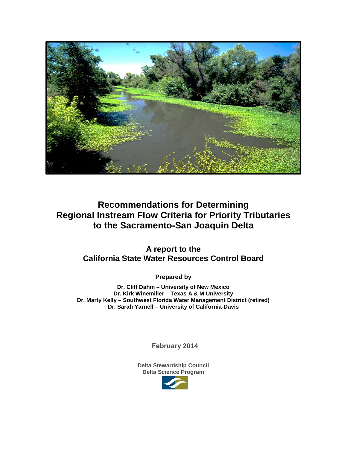

# **Recommendations for Determining Regional Instream Flow Criteria for Priority Tributaries to the Sacramento-San Joaquin Delta**

**A report to the California State Water Resources Control Board**

**Prepared by**

**Dr. Cliff Dahm – University of New Mexico Dr. Kirk Winemiller – Texas A & M University Dr. Marty Kelly – Southwest Florida Water Management District (retired) Dr. Sarah Yarnell – University of California-Davis**

**February 2014** 

**Delta Stewardship Council Delta Science Program**

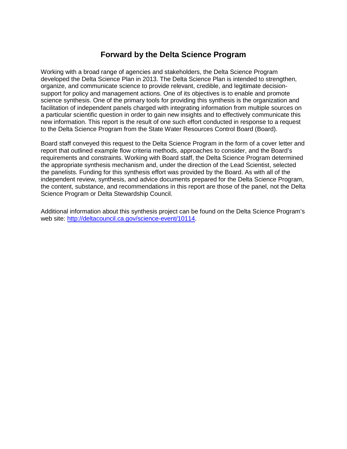# **Forward by the Delta Science Program**

Working with a broad range of agencies and stakeholders, the Delta Science Program developed the Delta Science Plan in 2013. The Delta Science Plan is intended to strengthen, organize, and communicate science to provide relevant, credible, and legitimate decisionsupport for policy and management actions. One of its objectives is to enable and promote science synthesis. One of the primary tools for providing this synthesis is the organization and facilitation of independent panels charged with integrating information from multiple sources on a particular scientific question in order to gain new insights and to effectively communicate this new information. This report is the result of one such effort conducted in response to a request to the Delta Science Program from the State Water Resources Control Board (Board).

Board staff conveyed this request to the Delta Science Program in the form of a cover letter and report that outlined example flow criteria methods, approaches to consider, and the Board's requirements and constraints. Working with Board staff, the Delta Science Program determined the appropriate synthesis mechanism and, under the direction of the Lead Scientist, selected the panelists. Funding for this synthesis effort was provided by the Board. As with all of the independent review, synthesis, and advice documents prepared for the Delta Science Program, the content, substance, and recommendations in this report are those of the panel, not the Delta Science Program or Delta Stewardship Council.

Additional information about this synthesis project can be found on the Delta Science Program's web site: [http://deltacouncil.ca.gov/science-event/10114.](http://deltacouncil.ca.gov/science-event/10114)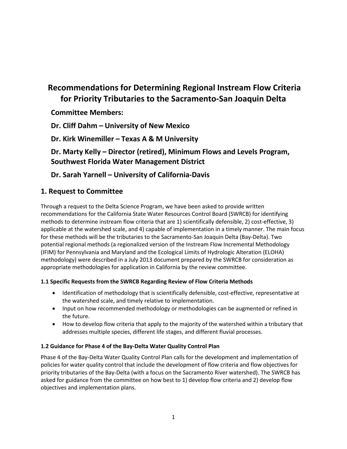# **Recommendations for Determining Regional Instream Flow Criteria for Priority Tributaries to the Sacramento-San Joaquin Delta**

**Committee Members:**

**Dr. Cliff Dahm – University of New Mexico**

**Dr. Kirk Winemiller – Texas A & M University**

**Dr. Marty Kelly – Director (retired), Minimum Flows and Levels Program, Southwest Florida Water Management District**

# **Dr. Sarah Yarnell – University of California-Davis**

## **1. Request to Committee**

Through a request to the Delta Science Program, we have been asked to provide written recommendations for the California State Water Resources Control Board (SWRCB) for identifying methods to determine instream flow criteria that are 1) scientifically defensible, 2) cost-effective, 3) applicable at the watershed scale, and 4) capable of implementation in a timely manner. The main focus for these methods will be the tributaries to the Sacramento-San Joaquin Delta (Bay-Delta). Two potential regional methods (a regionalized version of the Instream Flow Incremental Methodology (IFIM) for Pennsylvania and Maryland and the Ecological Limits of Hydrologic Alteration (ELOHA) methodology) were described in a July 2013 document prepared by the SWRCB for consideration as appropriate methodologies for application in California by the review committee.

### **1.1 Specific Requests from the SWRCB Regarding Review of Flow Criteria Methods**

- Identification of methodology that is scientifically defensible, cost-effective, representative at the watershed scale, and timely relative to implementation.
- Input on how recommended methodology or methodologies can be augmented or refined in the future.
- How to develop flow criteria that apply to the majority of the watershed within a tributary that addresses multiple species, different life stages, and different fluvial processes.

### **1.2 Guidance for Phase 4 of the Bay-Delta Water Quality Control Plan**

Phase 4 of the Bay-Delta Water Quality Control Plan calls for the development and implementation of policies for water quality control that include the development of flow criteria and flow objectives for priority tributaries of the Bay-Delta (with a focus on the Sacramento River watershed). The SWRCB has asked for guidance from the committee on how best to 1) develop flow criteria and 2) develop flow objectives and implementation plans.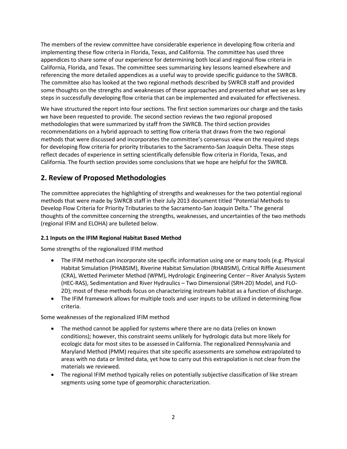The members of the review committee have considerable experience in developing flow criteria and implementing these flow criteria in Florida, Texas, and California. The committee has used three appendices to share some of our experience for determining both local and regional flow criteria in California, Florida, and Texas. The committee sees summarizing key lessons learned elsewhere and referencing the more detailed appendices as a useful way to provide specific guidance to the SWRCB. The committee also has looked at the two regional methods described by SWRCB staff and provided some thoughts on the strengths and weaknesses of these approaches and presented what we see as key steps in successfully developing flow criteria that can be implemented and evaluated for effectiveness.

We have structured the report into four sections. The first section summarizes our charge and the tasks we have been requested to provide. The second section reviews the two regional proposed methodologies that were summarized by staff from the SWRCB. The third section provides recommendations on a hybrid approach to setting flow criteria that draws from the two regional methods that were discussed and incorporates the committee's consensus view on the required steps for developing flow criteria for priority tributaries to the Sacramento-San Joaquin Delta. These steps reflect decades of experience in setting scientifically defensible flow criteria in Florida, Texas, and California. The fourth section provides some conclusions that we hope are helpful for the SWRCB.

# **2. Review of Proposed Methodologies**

The committee appreciates the highlighting of strengths and weaknesses for the two potential regional methods that were made by SWRCB staff in their July 2013 document titled "Potential Methods to Develop Flow Criteria for Priority Tributaries to the Sacramento-San Joaquin Delta." The general thoughts of the committee concerning the strengths, weaknesses, and uncertainties of the two methods (regional IFIM and ELOHA) are bulleted below.

### **2.1 Inputs on the IFIM Regional Habitat Based Method**

Some strengths of the regionalized IFIM method

- The IFIM method can incorporate site specific information using one or many tools (e.g. Physical Habitat Simulation (PHABSIM), Riverine Habitat Simulation (RHABSIM), Critical Riffle Assessment (CRA), Wetted Perimeter Method (WPM), Hydrologic Engineering Center – River Analysis System (HEC-RAS), Sedimentation and River Hydraulics – Two Dimensional (SRH-2D) Model, and FLO-2D); most of these methods focus on characterizing instream habitat as a function of discharge.
- The IFIM framework allows for multiple tools and user inputs to be utilized in determining flow criteria.

### Some weaknesses of the regionalized IFIM method

- The method cannot be applied for systems where there are no data (relies on known conditions); however, this constraint seems unlikely for hydrologic data but more likely for ecologic data for most sites to be assessed in California. The regionalized Pennsylvania and Maryland Method (PMM) requires that site specific assessments are somehow extrapolated to areas with no data or limited data, yet how to carry out this extrapolation is not clear from the materials we reviewed.
- The regional IFIM method typically relies on potentially subjective classification of like stream segments using some type of geomorphic characterization.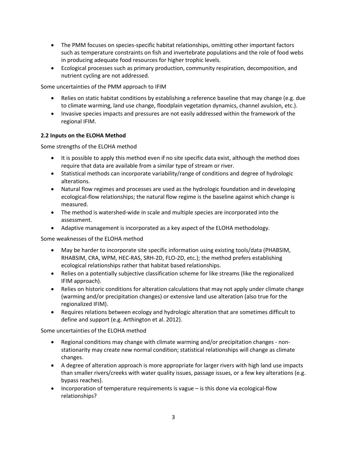- The PMM focuses on species-specific habitat relationships, omitting other important factors such as temperature constraints on fish and invertebrate populations and the role of food webs in producing adequate food resources for higher trophic levels.
- Ecological processes such as primary production, community respiration, decomposition, and nutrient cycling are not addressed.

Some uncertainties of the PMM approach to IFIM

- Relies on static habitat conditions by establishing a reference baseline that may change (e.g. due to climate warming, land use change, floodplain vegetation dynamics, channel avulsion, etc.).
- Invasive species impacts and pressures are not easily addressed within the framework of the regional IFIM.

### **2.2 Inputs on the ELOHA Method**

Some strengths of the ELOHA method

- It is possible to apply this method even if no site specific data exist, although the method does require that data are available from a similar type of stream or river.
- Statistical methods can incorporate variability/range of conditions and degree of hydrologic alterations.
- Natural flow regimes and processes are used as the hydrologic foundation and in developing ecological-flow relationships; the natural flow regime is the baseline against which change is measured.
- The method is watershed-wide in scale and multiple species are incorporated into the assessment.
- Adaptive management is incorporated as a key aspect of the ELOHA methodology.

Some weaknesses of the ELOHA method

- May be harder to incorporate site specific information using existing tools/data (PHABSIM, RHABSIM, CRA, WPM, HEC-RAS, SRH-2D, FLO-2D, etc.); the method prefers establishing ecological relationships rather that habitat based relationships.
- Relies on a potentially subjective classification scheme for like streams (like the regionalized IFIM approach).
- Relies on historic conditions for alteration calculations that may not apply under climate change (warming and/or precipitation changes) or extensive land use alteration (also true for the regionalized IFIM).
- Requires relations between ecology and hydrologic alteration that are sometimes difficult to define and support (e.g. Arthington et al. 2012).

Some uncertainties of the ELOHA method

- Regional conditions may change with climate warming and/or precipitation changes nonstationarity may create new normal condition; statistical relationships will change as climate changes.
- A degree of alteration approach is more appropriate for larger rivers with high land use impacts than smaller rivers/creeks with water quality issues, passage issues, or a few key alterations (e.g. bypass reaches).
- Incorporation of temperature requirements is vague is this done via ecological-flow relationships?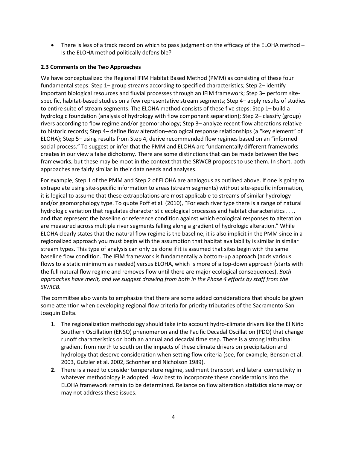• There is less of a track record on which to pass judgment on the efficacy of the ELOHA method – Is the ELOHA method politically defensible?

### **2.3 Comments on the Two Approaches**

We have conceptualized the Regional IFIM Habitat Based Method (PMM) as consisting of these four fundamental steps: Step 1– group streams according to specified characteristics; Step 2– identify important biological resources and fluvial processes through an IFIM framework; Step 3– perform sitespecific, habitat-based studies on a few representative stream segments; Step 4– apply results of studies to entire suite of stream segments. The ELOHA method consists of these five steps: Step 1– build a hydrologic foundation (analysis of hydrology with flow component separation); Step 2– classify (group) rivers according to flow regime and/or geomorphology; Step 3– analyze recent flow alterations relative to historic records; Step 4– define flow alteration–ecological response relationships (a "key element" of ELOHA); Step 5– using results from Step 4, derive recommended flow regimes based on an "informed social process." To suggest or infer that the PMM and ELOHA are fundamentally different frameworks creates in our view a false dichotomy. There are some distinctions that can be made between the two frameworks, but these may be moot in the context that the SRWCB proposes to use them. In short, both approaches are fairly similar in their data needs and analyses.

For example, Step 1 of the PMM and Step 2 of ELOHA are analogous as outlined above. If one is going to extrapolate using site-specific information to areas (stream segments) without site-specific information, it is logical to assume that these extrapolations are most applicable to streams of similar hydrology and/or geomorphology type. To quote Poff et al. (2010), "For each river type there is a range of natural hydrologic variation that regulates characteristic ecological processes and habitat characteristics . . ., and that represent the baseline or reference condition against which ecological responses to alteration are measured across multiple river segments falling along a gradient of hydrologic alteration." While ELOHA clearly states that the natural flow regime is the baseline, it is also implicit in the PMM since in a regionalized approach you must begin with the assumption that habitat availability is similar in similar stream types. This type of analysis can only be done if it is assumed that sites begin with the same baseline flow condition. The IFIM framework is fundamentally a bottom-up approach (adds various flows to a static minimum as needed) versus ELOHA, which is more of a top-down approach (starts with the full natural flow regime and removes flow until there are major ecological consequences). *Both approaches have merit, and we suggest drawing from both in the Phase 4 efforts by staff from the SWRCB.*

The committee also wants to emphasize that there are some added considerations that should be given some attention when developing regional flow criteria for priority tributaries of the Sacramento-San Joaquin Delta.

- 1. The regionalization methodology should take into account hydro-climate drivers like the El Niño Southern Oscillation (ENSO) phenomenon and the Pacific Decadal Oscillation (PDO) that change runoff characteristics on both an annual and decadal time step. There is a strong latitudinal gradient from north to south on the impacts of these climate drivers on precipitation and hydrology that deserve consideration when setting flow criteria (see, for example, Benson et al. 2003, Gutzler et al. 2002, Schonher and Nicholson 1989).
- **2.** There is a need to consider temperature regime, sediment transport and lateral connectivity in whatever methodology is adopted. How best to incorporate these considerations into the ELOHA framework remain to be determined. Reliance on flow alteration statistics alone may or may not address these issues.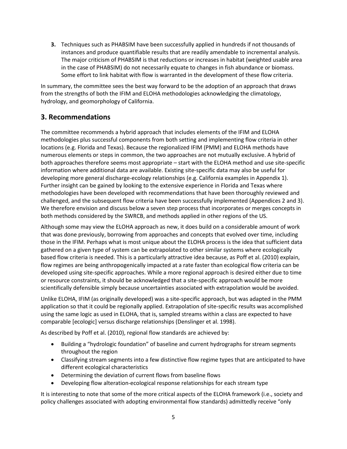**3.** Techniques such as PHABSIM have been successfully applied in hundreds if not thousands of instances and produce quantifiable results that are readily amendable to incremental analysis. The major criticism of PHABSIM is that reductions or increases in habitat (weighted usable area in the case of PHABSIM) do not necessarily equate to changes in fish abundance or biomass. Some effort to link habitat with flow is warranted in the development of these flow criteria.

In summary, the committee sees the best way forward to be the adoption of an approach that draws from the strengths of both the IFIM and ELOHA methodologies acknowledging the climatology, hydrology, and geomorphology of California.

# **3. Recommendations**

The committee recommends a hybrid approach that includes elements of the IFIM and ELOHA methodologies plus successful components from both setting and implementing flow criteria in other locations (e.g. Florida and Texas). Because the regionalized IFIM (PMM) and ELOHA methods have numerous elements or steps in common, the two approaches are not mutually exclusive. A hybrid of both approaches therefore seems most appropriate – start with the ELOHA method and use site-specific information where additional data are available. Existing site-specific data may also be useful for developing more general discharge-ecology relationships (e.g. California examples in Appendix 1). Further insight can be gained by looking to the extensive experience in Florida and Texas where methodologies have been developed with recommendations that have been thoroughly reviewed and challenged, and the subsequent flow criteria have been successfully implemented (Appendices 2 and 3). We therefore envision and discuss below a seven step process that incorporates or merges concepts in both methods considered by the SWRCB, and methods applied in other regions of the US.

Although some may view the ELOHA approach as new, it does build on a considerable amount of work that was done previously, borrowing from approaches and concepts that evolved over time, including those in the IFIM. Perhaps what is most unique about the ELOHA process is the idea that sufficient data gathered on a given type of system can be extrapolated to other similar systems where ecologically based flow criteria is needed. This is a particularly attractive idea because, as Poff et al. (2010) explain, flow regimes are being anthropogenically impacted at a rate faster than ecological flow criteria can be developed using site-specific approaches. While a more regional approach is desired either due to time or resource constraints, it should be acknowledged that a site-specific approach would be more scientifically defensible simply because uncertainties associated with extrapolation would be avoided.

Unlike ELOHA, IFIM (as originally developed) was a site-specific approach, but was adapted in the PMM application so that it could be regionally applied. Extrapolation of site-specific results was accomplished using the same logic as used in ELOHA, that is, sampled streams within a class are expected to have comparable [ecologic] versus discharge relationships (Denslinger et al. 1998).

As described by Poff et al. (2010), regional flow standards are achieved by:

- Building a "hydrologic foundation" of baseline and current hydrographs for stream segments throughout the region
- Classifying stream segments into a few distinctive flow regime types that are anticipated to have different ecological characteristics
- Determining the deviation of current flows from baseline flows
- Developing flow alteration-ecological response relationships for each stream type

It is interesting to note that some of the more critical aspects of the ELOHA framework (i.e., society and policy challenges associated with adopting environmental flow standards) admittedly receive "only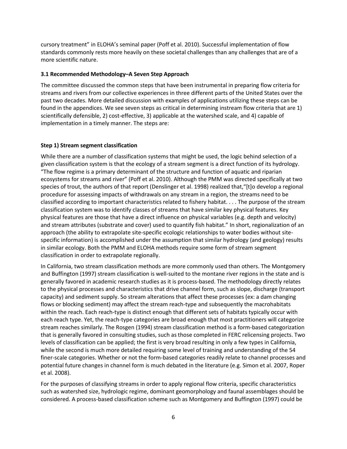cursory treatment" in ELOHA's seminal paper (Poff et al. 2010). Successful implementation of flow standards commonly rests more heavily on these societal challenges than any challenges that are of a more scientific nature.

### **3.1 Recommended Methodology–A Seven Step Approach**

The committee discussed the common steps that have been instrumental in preparing flow criteria for streams and rivers from our collective experiences in three different parts of the United States over the past two decades. More detailed discussion with examples of applications utilizing these steps can be found in the appendices. We see seven steps as critical in determining instream flow criteria that are 1) scientifically defensible, 2) cost-effective, 3) applicable at the watershed scale, and 4) capable of implementation in a timely manner. The steps are:

### **Step 1) Stream segment classification**

While there are a number of classification systems that might be used, the logic behind selection of a given classification system is that the ecology of a stream segment is a direct function of its hydrology. "The flow regime is a primary determinant of the structure and function of aquatic and riparian ecosystems for streams and river" (Poff et al. 2010). Although the PMM was directed specifically at two species of trout, the authors of that report (Denslinger et al. 1998) realized that,"[t]o develop a regional procedure for assessing impacts of withdrawals on any stream in a region, the streams need to be classified according to important characteristics related to fishery habitat. . . . The purpose of the stream classification system was to identify classes of streams that have similar key physical features. Key physical features are those that have a direct influence on physical variables (e.g. depth and velocity) and stream attributes (substrate and cover) used to quantify fish habitat." In short, regionalization of an approach (the ability to extrapolate site-specific ecologic relationships to water bodies without sitespecific information) is accomplished under the assumption that similar hydrology (and geology) results in similar ecology. Both the PMM and ELOHA methods require some form of stream segment classification in order to extrapolate regionally.

In California, two stream classification methods are more commonly used than others. The Montgomery and Buffington (1997) stream classification is well-suited to the montane river regions in the state and is generally favored in academic research studies as it is process-based. The methodology directly relates to the physical processes and characteristics that drive channel form, such as slope, discharge (transport capacity) and sediment supply. So stream alterations that affect these processes (ex: a dam changing flows or blocking sediment) may affect the stream reach-type and subsequently the macrohabitats within the reach. Each reach-type is distinct enough that different sets of habitats typically occur with each reach type. Yet, the reach-type categories are broad enough that most practitioners will categorize stream reaches similarly. The Rosgen (1994) stream classification method is a form-based categorization that is generally favored in consulting studies, such as those completed in FERC relicensing projects. Two levels of classification can be applied; the first is very broad resulting in only a few types in California, while the second is much more detailed requiring some level of training and understanding of the 54 finer-scale categories. Whether or not the form-based categories readily relate to channel processes and potential future changes in channel form is much debated in the literature (e.g. Simon et al. 2007, Roper et al. 2008).

For the purposes of classifying streams in order to apply regional flow criteria, specific characteristics such as watershed size, hydrologic regime, dominant geomorphology and faunal assemblages should be considered. A process-based classification scheme such as Montgomery and Buffington (1997) could be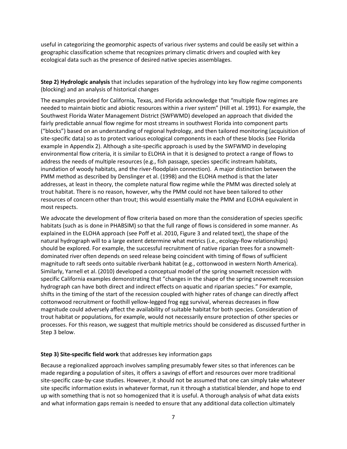useful in categorizing the geomorphic aspects of various river systems and could be easily set within a geographic classification scheme that recognizes primary climatic drivers and coupled with key ecological data such as the presence of desired native species assemblages.

**Step 2) Hydrologic analysis** that includes separation of the hydrology into key flow regime components (blocking) and an analysis of historical changes

The examples provided for California, Texas, and Florida acknowledge that "multiple flow regimes are needed to maintain biotic and abiotic resources within a river system" (Hill et al. 1991). For example, the Southwest Florida Water Management District (SWFWMD) developed an approach that divided the fairly predictable annual flow regime for most streams in southwest Florida into component parts ("blocks") based on an understanding of regional hydrology, and then tailored monitoring (acquisition of site-specific data) so as to protect various ecological components in each of these blocks (see Florida example in Appendix 2). Although a site-specific approach is used by the SWFWMD in developing environmental flow criteria, it is similar to ELOHA in that it is designed to protect a range of flows to address the needs of multiple resources (e.g., fish passage, species specific instream habitats, inundation of woody habitats, and the river-floodplain connection). A major distinction between the PMM method as described by Denslinger et al. (1998) and the ELOHA method is that the later addresses, at least in theory, the complete natural flow regime while the PMM was directed solely at trout habitat. There is no reason, however, why the PMM could not have been tailored to other resources of concern other than trout; this would essentially make the PMM and ELOHA equivalent in most respects.

We advocate the development of flow criteria based on more than the consideration of species specific habitats (such as is done in PHABSIM) so that the full range of flows is considered in some manner. As explained in the ELOHA approach (see Poff et al. 2010, Figure 3 and related text), the shape of the natural hydrograph will to a large extent determine what metrics (i.e., ecology-flow relationships) should be explored. For example, the successful recruitment of native riparian trees for a snowmeltdominated river often depends on seed release being coincident with timing of flows of sufficient magnitude to raft seeds onto suitable riverbank habitat (e.g., cottonwood in western North America). Similarly, Yarnell et al. (2010) developed a conceptual model of the spring snowmelt recession with specific California examples demonstrating that "changes in the shape of the spring snowmelt recession hydrograph can have both direct and indirect effects on aquatic and riparian species." For example, shifts in the timing of the start of the recession coupled with higher rates of change can directly affect cottonwood recruitment or foothill yellow-legged frog egg survival, whereas decreases in flow magnitude could adversely affect the availability of suitable habitat for both species. Consideration of trout habitat or populations, for example, would not necessarily ensure protection of other species or processes. For this reason, we suggest that multiple metrics should be considered as discussed further in Step 3 below.

#### **Step 3) Site-specific field work** that addresses key information gaps

Because a regionalized approach involves sampling presumably fewer sites so that inferences can be made regarding a population of sites, it offers a savings of effort and resources over more traditional site-specific case-by-case studies. However, it should not be assumed that one can simply take whatever site specific information exists in whatever format, run it through a statistical blender, and hope to end up with something that is not so homogenized that it is useful. A thorough analysis of what data exists and what information gaps remain is needed to ensure that any additional data collection ultimately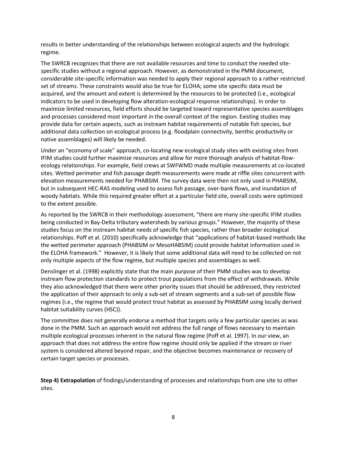results in better understanding of the relationships between ecological aspects and the hydrologic regime.

The SWRCB recognizes that there are not available resources and time to conduct the needed sitespecific studies without a regional approach. However, as demonstrated in the PMM document, considerable site-specific information was needed to apply their regional approach to a rather restricted set of streams. These constraints would also be true for ELOHA; some site specific data must be acquired, and the amount and extent is determined by the resources to be protected (i.e., ecological indicators to be used in developing flow alteration-ecological response relationships). In order to maximize limited resources, field efforts should be targeted toward representative species assemblages and processes considered most important in the overall context of the region. Existing studies may provide data for certain aspects, such as instream habitat requirements of notable fish species, but additional data collection on ecological process (e.g. floodplain connectivity, benthic productivity or native assemblages) will likely be needed.

Under an "economy of scale" approach, co-locating new ecological study sites with existing sites from IFIM studies could further maximize resources and allow for more thorough analysis of habitat-flowecology relationships. For example, field crews at SWFWMD made multiple measurements at co-located sites. Wetted perimeter and fish passage depth measurements were made at riffle sites concurrent with elevation measurements needed for PHABSIM. The survey data were then not only used in PHABSIM, but in subsequent HEC-RAS modeling used to assess fish passage, over-bank flows, and inundation of woody habitats. While this required greater effort at a particular field site, overall costs were optimized to the extent possible.

As reported by the SWRCB in their methodology assessment, "there are many site-specific IFIM studies being conducted in Bay-Delta tributary watersheds by various groups." However, the majority of these studies focus on the instream habitat needs of specific fish species, rather than broader ecological relationships. Poff et al. (2010) specifically acknowledge that "applications of habitat-based methods like the wetted perimeter approach (PHABSIM or MesoHABSIM) could provide habitat information used in the ELOHA framework." However, it is likely that some additional data will need to be collected on not only multiple aspects of the flow regime, but multiple species and assemblages as well.

Denslinger et al. (1998) explicitly state that the main purpose of their PMM studies was to develop instream flow protection standards to protect trout populations from the effect of withdrawals. While they also acknowledged that there were other priority issues that should be addressed, they restricted the application of their approach to only a sub-set of stream segments and a sub-set of possible flow regimes (i.e., the regime that would protect trout habitat as assessed by PHABSIM using locally derived habitat suitability curves (HSC)).

The committee does not generally endorse a method that targets only a few particular species as was done in the PMM. Such an approach would not address the full range of flows necessary to maintain multiple ecological processes inherent in the natural flow regime (Poff et al. 1997). In our view, an approach that does not address the entire flow regime should only be applied if the stream or river system is considered altered beyond repair, and the objective becomes maintenance or recovery of certain target species or processes.

**Step 4) Extrapolation** of findings/understanding of processes and relationships from one site to other sites.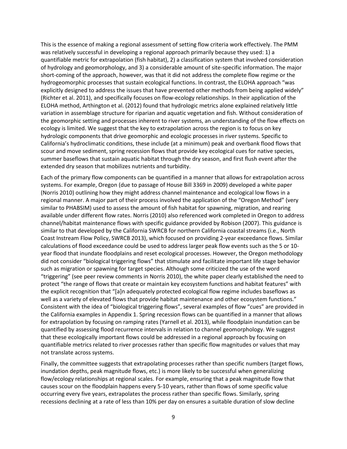This is the essence of making a regional assessment of setting flow criteria work effectively. The PMM was relatively successful in developing a regional approach primarily because they used: 1) a quantifiable metric for extrapolation (fish habitat), 2) a classification system that involved consideration of hydrology and geomorphology, and 3) a considerable amount of site-specific information. The major short-coming of the approach, however, was that it did not address the complete flow regime or the hydrogeomorphic processes that sustain ecological functions. In contrast, the ELOHA approach "was explicitly designed to address the issues that have prevented other methods from being applied widely" (Richter et al. 2011), and specifically focuses on flow-ecology relationships. In their application of the ELOHA method, Arthington et al. (2012) found that hydrologic metrics alone explained relatively little variation in assemblage structure for riparian and aquatic vegetation and fish. Without consideration of the geomorphic setting and processes inherent to river systems, an understanding of the flow effects on ecology is limited. We suggest that the key to extrapolation across the region is to focus on key hydrologic components that drive geomorphic and ecologic processes in river systems. Specific to California's hydroclimatic conditions, these include (at a minimum) peak and overbank flood flows that scour and move sediment, spring recession flows that provide key ecological cues for native species, summer baseflows that sustain aquatic habitat through the dry season, and first flush event after the extended dry season that mobilizes nutrients and turbidity.

Each of the primary flow components can be quantified in a manner that allows for extrapolation across systems. For example, Oregon (due to passage of House Bill 3369 in 2009) developed a white paper (Norris 2010) outlining how they might address channel maintenance and ecological low flows in a regional manner. A major part of their process involved the application of the "Oregon Method" (very similar to PHABSIM) used to assess the amount of fish habitat for spawning, migration, and rearing available under different flow rates. Norris (2010) also referenced work completed in Oregon to address channel/habitat maintenance flows with specific guidance provided by Robison (2007). This guidance is similar to that developed by the California SWRCB for northern California coastal streams (i.e., North Coast Instream Flow Policy, SWRCB 2013), which focused on providing 2-year exceedance flows. Similar calculations of flood exceedance could be used to address larger peak flow events such as the 5 or 10 year flood that inundate floodplains and reset ecological processes. However, the Oregon methodology did not consider "biological triggering flows" that stimulate and facilitate important life stage behavior such as migration or spawning for target species. Although some criticized the use of the word "triggering" (see peer review comments in Norris 2010), the white paper clearly established the need to protect "the range of flows that create or maintain key ecosystem functions and habitat features" with the explicit recognition that "[a]n adequately protected ecological flow regime includes baseflows as well as a variety of elevated flows that provide habitat maintenance and other ecosystem functions." Consistent with the idea of "biological triggering flows", several examples of flow "cues" are provided in the California examples in Appendix 1. Spring recession flows can be quantified in a manner that allows for extrapolation by focusing on ramping rates (Yarnell et al. 2013), while floodplain inundation can be quantified by assessing flood recurrence intervals in relation to channel geomorphology. We suggest that these ecologically important flows could be addressed in a regional approach by focusing on quantifiable metrics related to river processes rather than specific flow magnitudes or values that may not translate across systems.

Finally, the committee suggests that extrapolating processes rather than specific numbers (target flows, inundation depths, peak magnitude flows, etc.) is more likely to be successful when generalizing flow/ecology relationships at regional scales. For example, ensuring that a peak magnitude flow that causes scour on the floodplain happens every 5-10 years, rather than flows of some specific value occurring every five years, extrapolates the process rather than specific flows. Similarly, spring recessions declining at a rate of less than 10% per day on ensures a suitable duration of slow decline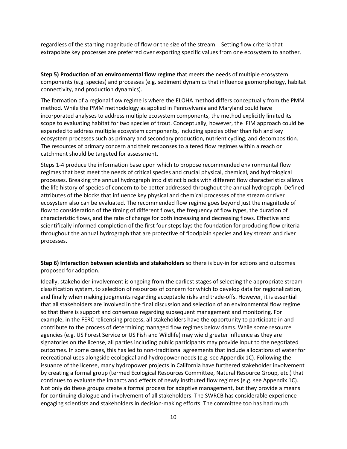regardless of the starting magnitude of flow or the size of the stream. . Setting flow criteria that extrapolate key processes are preferred over exporting specific values from one ecosystem to another.

**Step 5) Production of an environmental flow regime** that meets the needs of multiple ecosystem components (e.g. species) and processes (e.g. sediment dynamics that influence geomorphology, habitat connectivity, and production dynamics).

The formation of a regional flow regime is where the ELOHA method differs conceptually from the PMM method. While the PMM methodology as applied in Pennsylvania and Maryland could have incorporated analyses to address multiple ecosystem components, the method explicitly limited its scope to evaluating habitat for two species of trout. Conceptually, however, the IFIM approach could be expanded to address multiple ecosystem components, including species other than fish and key ecosystem processes such as primary and secondary production, nutrient cycling, and decomposition. The resources of primary concern and their responses to altered flow regimes within a reach or catchment should be targeted for assessment.

Steps 1-4 produce the information base upon which to propose recommended environmental flow regimes that best meet the needs of critical species and crucial physical, chemical, and hydrological processes. Breaking the annual hydrograph into distinct blocks with different flow characteristics allows the life history of species of concern to be better addressed throughout the annual hydrograph. Defined attributes of the blocks that influence key physical and chemical processes of the stream or river ecosystem also can be evaluated. The recommended flow regime goes beyond just the magnitude of flow to consideration of the timing of different flows, the frequency of flow types, the duration of characteristic flows, and the rate of change for both increasing and decreasing flows. Effective and scientifically informed completion of the first four steps lays the foundation for producing flow criteria throughout the annual hydrograph that are protective of floodplain species and key stream and river processes.

**Step 6) Interaction between scientists and stakeholders** so there is buy-in for actions and outcomes proposed for adoption.

Ideally, stakeholder involvement is ongoing from the earliest stages of selecting the appropriate stream classification system, to selection of resources of concern for which to develop data for regionalization, and finally when making judgments regarding acceptable risks and trade-offs. However, it is essential that all stakeholders are involved in the final discussion and selection of an environmental flow regime so that there is support and consensus regarding subsequent management and monitoring. For example, in the FERC relicensing process, all stakeholders have the opportunity to participate in and contribute to the process of determining managed flow regimes below dams. While some resource agencies (e.g. US Forest Service or US Fish and Wildlife) may wield greater influence as they are signatories on the license, all parties including public participants may provide input to the negotiated outcomes. In some cases, this has led to non-traditional agreements that include allocations of water for recreational uses alongside ecological and hydropower needs (e.g. see Appendix 1C). Following the issuance of the license, many hydropower projects in California have furthered stakeholder involvement by creating a formal group (termed Ecological Resources Committee, Natural Resource Group, etc.) that continues to evaluate the impacts and effects of newly instituted flow regimes (e.g. see Appendix 1C). Not only do these groups create a formal process for adaptive management, but they provide a means for continuing dialogue and involvement of all stakeholders. The SWRCB has considerable experience engaging scientists and stakeholders in decision-making efforts. The committee too has had much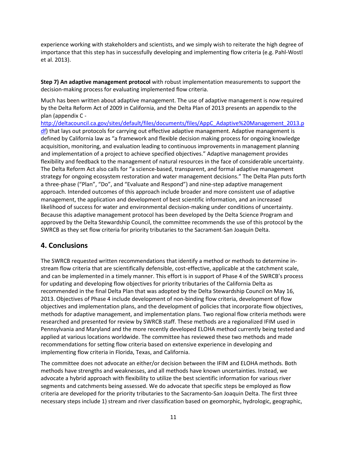experience working with stakeholders and scientists, and we simply wish to reiterate the high degree of importance that this step has in successfully developing and implementing flow criteria (e.g. Pahl-Wostl et al. 2013).

**Step 7) An adaptive management protocol** with robust implementation measurements to support the decision-making process for evaluating implemented flow criteria.

Much has been written about adaptive management. The use of adaptive management is now required by the Delta Reform Act of 2009 in California, and the Delta Plan of 2013 presents an appendix to the plan (appendix C -

[http://deltacouncil.ca.gov/sites/default/files/documents/files/AppC\\_Adaptive%20Management\\_2013.p](http://deltacouncil.ca.gov/sites/default/files/documents/files/AppC_Adaptive%20Management_2013.pdf) [df\)](http://deltacouncil.ca.gov/sites/default/files/documents/files/AppC_Adaptive%20Management_2013.pdf) that lays out protocols for carrying out effective adaptive management. Adaptive management is defined by California law as "a framework and flexible decision making process for ongoing knowledge acquisition, monitoring, and evaluation leading to continuous improvements in management planning and implementation of a project to achieve specified objectives." Adaptive management provides flexibility and feedback to the management of natural resources in the face of considerable uncertainty. The Delta Reform Act also calls for "a science-based, transparent, and formal adaptive management strategy for ongoing ecosystem restoration and water management decisions." The Delta Plan puts forth a three-phase ("Plan", "Do", and "Evaluate and Respond") and nine-step adaptive management approach. Intended outcomes of this approach include broader and more consistent use of adaptive management, the application and development of best scientific information, and an increased likelihood of success for water and environmental decision-making under conditions of uncertainty. Because this adaptive management protocol has been developed by the Delta Science Program and approved by the Delta Stewardship Council, the committee recommends the use of this protocol by the SWRCB as they set flow criteria for priority tributaries to the Sacrament-San Joaquin Delta.

## **4. Conclusions**

The SWRCB requested written recommendations that identify a method or methods to determine instream flow criteria that are scientifically defensible, cost-effective, applicable at the catchment scale, and can be implemented in a timely manner. This effort is in support of Phase 4 of the SWRCB's process for updating and developing flow objectives for priority tributaries of the California Delta as recommended in the final Delta Plan that was adopted by the Delta Stewardship Council on May 16, 2013. Objectives of Phase 4 include development of non-binding flow criteria, development of flow objectives and implementation plans, and the development of policies that incorporate flow objectives, methods for adaptive management, and implementation plans. Two regional flow criteria methods were researched and presented for review by SWRCB staff. These methods are a regionalized IFIM used in Pennsylvania and Maryland and the more recently developed ELOHA method currently being tested and applied at various locations worldwide. The committee has reviewed these two methods and made recommendations for setting flow criteria based on extensive experience in developing and implementing flow criteria in Florida, Texas, and California.

The committee does not advocate an either/or decision between the IFIM and ELOHA methods. Both methods have strengths and weaknesses, and all methods have known uncertainties. Instead, we advocate a hybrid approach with flexibility to utilize the best scientific information for various river segments and catchments being assessed. We do advocate that specific steps be employed as flow criteria are developed for the priority tributaries to the Sacramento-San Joaquin Delta. The first three necessary steps include 1) stream and river classification based on geomorphic, hydrologic, geographic,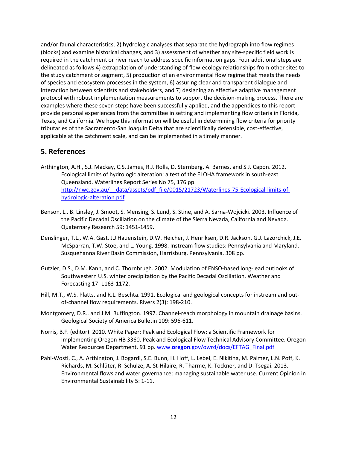and/or faunal characteristics, 2) hydrologic analyses that separate the hydrograph into flow regimes (blocks) and examine historical changes, and 3) assessment of whether any site-specific field work is required in the catchment or river reach to address specific information gaps. Four additional steps are delineated as follows 4) extrapolation of understanding of flow-ecology relationships from other sites to the study catchment or segment, 5) production of an environmental flow regime that meets the needs of species and ecosystem processes in the system, 6) assuring clear and transparent dialogue and interaction between scientists and stakeholders, and 7) designing an effective adaptive management protocol with robust implementation measurements to support the decision-making process. There are examples where these seven steps have been successfully applied, and the appendices to this report provide personal experiences from the committee in setting and implementing flow criteria in Florida, Texas, and California. We hope this information will be useful in determining flow criteria for priority tributaries of the Sacramento-San Joaquin Delta that are scientifically defensible, cost-effective, applicable at the catchment scale, and can be implemented in a timely manner.

### **5. References**

- Arthington, A.H., S.J. Mackay, C.S. James, R.J. Rolls, D. Sternberg, A. Barnes, and S.J. Capon. 2012. Ecological limits of hydrologic alteration: a test of the ELOHA framework in south-east Queensland. Waterlines Report Series No 75, 176 pp. http://nwc.gov.au/ data/assets/pdf file/0015/21723/Waterlines-75-Ecological-limits-of[hydrologic-alteration.pdf](http://nwc.gov.au/__data/assets/pdf_file/0015/21723/Waterlines-75-Ecological-limits-of-hydrologic-alteration.pdf)
- Benson, L., B. Linsley, J. Smoot, S. Mensing, S. Lund, S. Stine, and A. Sarna-Wojcicki. 2003. Influence of the Pacific Decadal Oscillation on the climate of the Sierra Nevada, California and Nevada. Quaternary Research 59: 1451-1459.
- Denslinger, T.L., W.A. Gast, J.J Hauenstein, D.W. Heicher, J. Henriksen, D.R. Jackson, G.J. Lazorchick, J.E. McSparran, T.W. Stoe, and L. Young. 1998. Instream flow studies: Pennsylvania and Maryland. Susquehanna River Basin Commission, Harrisburg, Pennsylvania. 308 pp.
- Gutzler, D.S., D.M. Kann, and C. Thornbrugh. 2002. Modulation of ENSO-based long-lead outlooks of Southwestern U.S. winter precipitation by the Pacific Decadal Oscillation. Weather and Forecasting 17: 1163-1172.
- Hill, M.T., W.S. Platts, and R.L. Beschta. 1991. Ecological and geological concepts for instream and outof-channel flow requirements. Rivers 2(3): 198-210.
- Montgomery, D.R., and J.M. Buffington. 1997. Channel-reach morphology in mountain drainage basins. Geological Society of America Bulletin 109: 596-611.
- Norris, B.F. (editor). 2010. White Paper: Peak and Ecological Flow; a Scientific Framework for Implementing Oregon HB 3360. Peak and Ecological Flow Technical Advisory Committee. Oregon Water Resources Department. 91 pp. www.**oregon**[.gov/owrd/docs/EFTAG\\_Final.pdf](http://www.oregon.gov/owrd/docs/EFTAG_%E2%80%8BFinal.pdf)
- Pahl-Wostl, C., A. Arthington, J. Bogardi, S.E. Bunn, H. Hoff, L. Lebel, E. Nikitina, M. Palmer, L.N. Poff, K. Richards, M. Schlüter, R. Schulze, A. St-Hilaire, R. Tharme, K. Tockner, and D. Tsegai. 2013. Environmental flows and water governance: managing sustainable water use. Current Opinion in Environmental Sustainability 5: 1-11.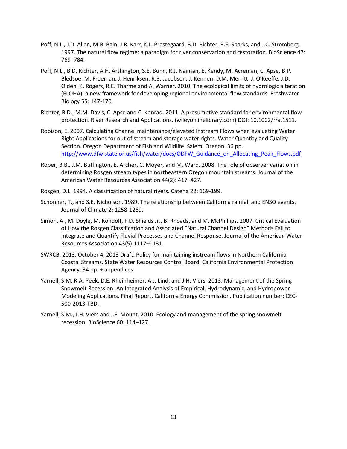- Poff, N.L., J.D. Allan, M.B. Bain, J.R. Karr, K.L. Prestegaard, B.D. Richter, R.E. Sparks, and J.C. Stromberg. 1997. The natural flow regime: a paradigm for river conservation and restoration. BioScience 47: 769–784.
- Poff, N.L., B.D. Richter, A.H. Arthington, S.E. Bunn, R.J. Naiman, E. Kendy, M. Acreman, C. Apse, B.P. Bledsoe, M. Freeman, J. Henriksen, R.B. Jacobson, J. Kennen, D.M. Merritt, J. O'Keeffe, J.D. Olden, K. Rogers, R.E. Tharme and A. Warner. 2010. The ecological limits of hydrologic alteration (ELOHA): a new framework for developing regional environmental flow standards. Freshwater Biology 55: 147-170.
- Richter, B.D., M.M. Davis, C. Apse and C. Konrad. 2011. A presumptive standard for environmental flow protection. River Research and Applications. (wileyonlinelibrary.com) DOI: 10.1002/rra.1511.
- Robison, E. 2007. Calculating Channel maintenance/elevated Instream Flows when evaluating Water Right Applications for out of stream and storage water rights. Water Quantity and Quality Section. Oregon Department of Fish and Wildlife. Salem, Oregon. 36 pp. [http://www.dfw.state.or.us/fish/water/docs/ODFW\\_Guidance\\_on\\_Allocating\\_Peak\\_Flows.pdf](http://www.dfw.state.or.us/fish/water/docs/ODFW_Guidance_on_Allocating_Peak_Flows.pdf)
- Roper, B.B., J.M. Buffington, E. Archer, C. Moyer, and M. Ward. 2008. The role of observer variation in determining Rosgen stream types in northeastern Oregon mountain streams. Journal of the American Water Resources Association 44(2): 417–427.
- Rosgen, D.L. 1994. A classification of natural rivers. Catena 22: 169-199.
- Schonher, T., and S.E. Nicholson. 1989. The relationship between California rainfall and ENSO events. Journal of Climate 2: 1258-1269.
- Simon, A., M. Doyle, M. Kondolf, F.D. Shields Jr., B. Rhoads, and M. McPhillips. 2007. Critical Evaluation of How the Rosgen Classification and Associated "Natural Channel Design" Methods Fail to Integrate and Quantify Fluvial Processes and Channel Response. Journal of the American Water Resources Association 43(5):1117–1131.
- SWRCB. 2013. October 4, 2013 Draft. Policy for maintaining instream flows in Northern California Coastal Streams. State Water Resources Control Board. California Environmental Protection Agency. 34 pp. + appendices.
- Yarnell, S.M, R.A. Peek, D.E. Rheinheimer, A.J. Lind, and J.H. Viers. 2013. Management of the Spring Snowmelt Recession: An Integrated Analysis of Empirical, Hydrodynamic, and Hydropower Modeling Applications. Final Report. California Energy Commission. Publication number: CEC-500-2013-TBD.
- Yarnell, S.M., J.H. Viers and J.F. Mount. 2010. Ecology and management of the spring snowmelt recession. BioScience 60: 114–127.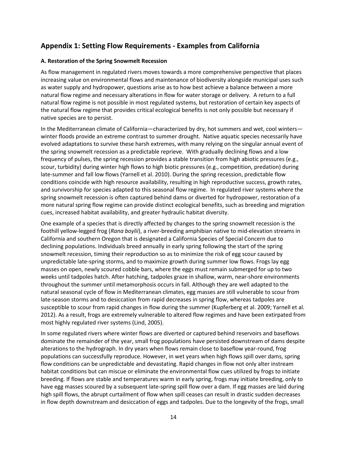# **Appendix 1: Setting Flow Requirements - Examples from California**

### **A. Restoration of the Spring Snowmelt Recession**

As flow management in regulated rivers moves towards a more comprehensive perspective that places increasing value on environmental flows and maintenance of biodiversity alongside municipal uses such as water supply and hydropower, questions arise as to how best achieve a balance between a more natural flow regime and necessary alterations in flow for water storage or delivery. A return to a full natural flow regime is not possible in most regulated systems, but restoration of certain key aspects of the natural flow regime that provides critical ecological benefits is not only possible but necessary if native species are to persist.

In the Mediterranean climate of California—characterized by dry, hot summers and wet, cool winters winter floods provide an extreme contrast to summer drought. Native aquatic species necessarily have evolved adaptations to survive these harsh extremes, with many relying on the singular annual event of the spring snowmelt recession as a predictable reprieve. With gradually declining flows and a low frequency of pulses, the spring recession provides a stable transition from high abiotic pressures (e.g., scour, turbidity) during winter high flows to high biotic pressures (e.g., competition, predation) during late-summer and fall low flows (Yarnell et al. 2010). During the spring recession, predictable flow conditions coincide with high resource availability, resulting in high reproductive success, growth rates, and survivorship for species adapted to this seasonal flow regime. In regulated river systems where the spring snowmelt recession is often captured behind dams or diverted for hydropower, restoration of a more natural spring flow regime can provide distinct ecological benefits, such as breeding and migration cues, increased habitat availability, and greater hydraulic habitat diversity.

One example of a species that is directly affected by changes to the spring snowmelt recession is the foothill yellow-legged frog (*Rana boylii*), a river-breeding amphibian native to mid-elevation streams in California and southern Oregon that is designated a California Species of Special Concern due to declining populations. Individuals breed annually in early spring following the start of the spring snowmelt recession, timing their reproduction so as to minimize the risk of egg scour caused by unpredictable late-spring storms, and to maximize growth during summer low flows. Frogs lay egg masses on open, newly scoured cobble bars, where the eggs must remain submerged for up to two weeks until tadpoles hatch. After hatching, tadpoles graze in shallow, warm, near-shore environments throughout the summer until metamorphosis occurs in fall. Although they are well adapted to the natural seasonal cycle of flow in Mediterranean climates, egg masses are still vulnerable to scour from late-season storms and to desiccation from rapid decreases in spring flow, whereas tadpoles are susceptible to scour from rapid changes in flow during the summer (Kupferberg et al. 2009; Yarnell et al. 2012). As a result, frogs are extremely vulnerable to altered flow regimes and have been extirpated from most highly regulated river systems (Lind, 2005).

In some regulated rivers where winter flows are diverted or captured behind reservoirs and baseflows dominate the remainder of the year, small frog populations have persisted downstream of dams despite alterations to the hydrograph. In dry years when flows remain close to baseflow year-round, frog populations can successfully reproduce. However, in wet years when high flows spill over dams, spring flow conditions can be unpredictable and devastating. Rapid changes in flow not only alter instream habitat conditions but can miscue or eliminate the environmental flow cues utilized by frogs to initiate breeding. If flows are stable and temperatures warm in early spring, frogs may initiate breeding, only to have egg masses scoured by a subsequent late-spring spill flow over a dam. If egg masses are laid during high spill flows, the abrupt curtailment of flow when spill ceases can result in drastic sudden decreases in flow depth downstream and desiccation of eggs and tadpoles. Due to the longevity of the frogs, small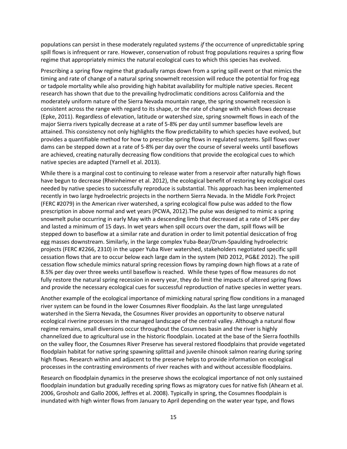populations can persist in these moderately regulated systems *if* the occurrence of unpredictable spring spill flows is infrequent or rare. However, conservation of robust frog populations requires a spring flow regime that appropriately mimics the natural ecological cues to which this species has evolved.

Prescribing a spring flow regime that gradually ramps down from a spring spill event or that mimics the timing and rate of change of a natural spring snowmelt recession will reduce the potential for frog egg or tadpole mortality while also providing high habitat availability for multiple native species. Recent research has shown that due to the prevailing hydroclimatic conditions across California and the moderately uniform nature of the Sierra Nevada mountain range, the spring snowmelt recession is consistent across the range with regard to its shape, or the rate of change with which flows decrease (Epke, 2011). Regardless of elevation, latitude or watershed size, spring snowmelt flows in each of the major Sierra rivers typically decrease at a rate of 5-8% per day until summer baseflow levels are attained. This consistency not only highlights the flow predictability to which species have evolved, but provides a quantifiable method for how to prescribe spring flows in regulated systems. Spill flows over dams can be stepped down at a rate of 5-8% per day over the course of several weeks until baseflows are achieved, creating naturally decreasing flow conditions that provide the ecological cues to which native species are adapted (Yarnell et al. 2013).

While there is a marginal cost to continuing to release water from a reservoir after naturally high flows have begun to decrease (Rheinheimer et al. 2012), the ecological benefit of restoring key ecological cues needed by native species to successfully reproduce is substantial. This approach has been implemented recently in two large hydroelectric projects in the northern Sierra Nevada. In the Middle Fork Project (FERC #2079) in the American river watershed, a spring ecological flow pulse was added to the flow prescription in above normal and wet years (PCWA, 2012).The pulse was designed to mimic a spring snowmelt pulse occurring in early May with a descending limb that decreased at a rate of 14% per day and lasted a minimum of 15 days. In wet years when spill occurs over the dam, spill flows will be stepped down to baseflow at a similar rate and duration in order to limit potential desiccation of frog egg masses downstream. Similarly, in the large complex Yuba-Bear/Drum-Spaulding hydroelectric projects (FERC #2266, 2310) in the upper Yuba River watershed, stakeholders negotiated specific spill cessation flows that are to occur below each large dam in the system (NID 2012, PG&E 2012). The spill cessation flow schedule mimics natural spring recession flows by ramping down high flows at a rate of 8.5% per day over three weeks until baseflow is reached. While these types of flow measures do not fully restore the natural spring recession in every year, they do limit the impacts of altered spring flows and provide the necessary ecological cues for successful reproduction of native species in wetter years.

Another example of the ecological importance of mimicking natural spring flow conditions in a managed river system can be found in the lower Cosumnes River floodplain. As the last large unregulated watershed in the Sierra Nevada, the Cosumnes River provides an opportunity to observe natural ecological riverine processes in the managed landscape of the central valley. Although a natural flow regime remains, small diversions occur throughout the Cosumnes basin and the river is highly channelized due to agricultural use in the historic floodplain. Located at the base of the Sierra foothills on the valley floor, the Cosumnes River Preserve has several restored floodplains that provide vegetated floodplain habitat for native spring spawning splittail and juvenile chinook salmon rearing during spring high flows. Research within and adjacent to the preserve helps to provide information on ecological processes in the contrasting environments of river reaches with and without accessible floodplains.

Research on floodplain dynamics in the preserve shows the ecological importance of not only sustained floodplain inundation but gradually receding spring flows as migratory cues for native fish (Ahearn et al. 2006, Grosholz and Gallo 2006, Jeffres et al. 2008). Typically in spring, the Cosumnes floodplain is inundated with high winter flows from January to April depending on the water year type, and flows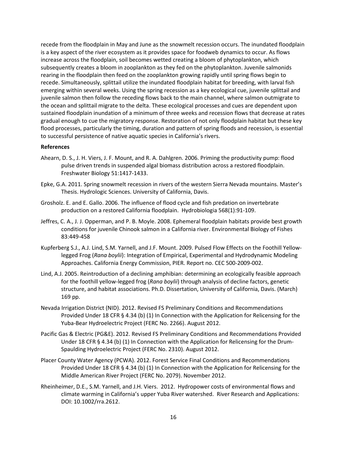recede from the floodplain in May and June as the snowmelt recession occurs. The inundated floodplain is a key aspect of the river ecosystem as it provides space for foodweb dynamics to occur. As flows increase across the floodplain, soil becomes wetted creating a bloom of phytoplankton, which subsequently creates a bloom in zooplankton as they fed on the phytoplankton. Juvenile salmonids rearing in the floodplain then feed on the zooplankton growing rapidly until spring flows begin to recede. Simultaneously, splittail utilize the inundated floodplain habitat for breeding, with larval fish emerging within several weeks. Using the spring recession as a key ecological cue, juvenile splittail and juvenile salmon then follow the receding flows back to the main channel, where salmon outmigrate to the ocean and splittail migrate to the delta. These ecological processes and cues are dependent upon sustained floodplain inundation of a minimum of three weeks and recession flows that decrease at rates gradual enough to cue the migratory response. Restoration of not only floodplain habitat but these key flood processes, particularly the timing, duration and pattern of spring floods and recession, is essential to successful persistence of native aquatic species in California's rivers.

#### **References**

- Ahearn, D. S., J. H. Viers, J. F. Mount, and R. A. Dahlgren. 2006. Priming the productivity pump: flood pulse driven trends in suspended algal biomass distribution across a restored floodplain. Freshwater Biology 51:1417-1433.
- Epke, G.A. 2011. Spring snowmelt recession in rivers of the western Sierra Nevada mountains. Master's Thesis. Hydrologic Sciences. University of California, Davis.
- Grosholz. E. and E. Gallo. 2006. The influence of flood cycle and fish predation on invertebrate production on a restored California floodplain. Hydrobiologia 568(1):91-109.
- Jeffres, C. A., J. J. Opperman, and P. B. Moyle. 2008. Ephemeral floodplain habitats provide best growth conditions for juvenile Chinook salmon in a California river. Environmental Biology of Fishes 83:449-458
- Kupferberg S.J., A.J. Lind, S.M. Yarnell, and J.F. Mount. 2009. Pulsed Flow Effects on the Foothill Yellowlegged Frog (*Rana boylii*): Integration of Empirical, Experimental and Hydrodynamic Modeling Approaches. California Energy Commission, PIER. Report no. CEC 500-2009-002.
- Lind, A.J. 2005. Reintroduction of a declining amphibian: determining an ecologically feasible approach for the foothill yellow-legged frog (*Rana boylii*) through analysis of decline factors, genetic structure, and habitat associations. Ph.D. Dissertation, University of California, Davis. (March) 169 pp.
- Nevada Irrigation District (NID). 2012. Revised FS Preliminary Conditions and Recommendations Provided Under 18 CFR § 4.34 (b) (1) In Connection with the Application for Relicensing for the Yuba-Bear Hydroelectric Project (FERC No. 2266). August 2012.
- Pacific Gas & Electric (PG&E). 2012. Revised FS Preliminary Conditions and Recommendations Provided Under 18 CFR § 4.34 (b) (1) In Connection with the Application for Relicensing for the Drum-Spaulding Hydroelectric Project (FERC No. 2310). August 2012.
- Placer County Water Agency (PCWA). 2012. Forest Service Final Conditions and Recommendations Provided Under 18 CFR § 4.34 (b) (1) In Connection with the Application for Relicensing for the Middle American River Project (FERC No. 2079). November 2012.
- Rheinheimer, D.E., S.M. Yarnell, and J.H. Viers. 2012. Hydropower costs of environmental flows and climate warming in California's upper Yuba River watershed. River Research and Applications: DOI: 10.1002/rra.2612.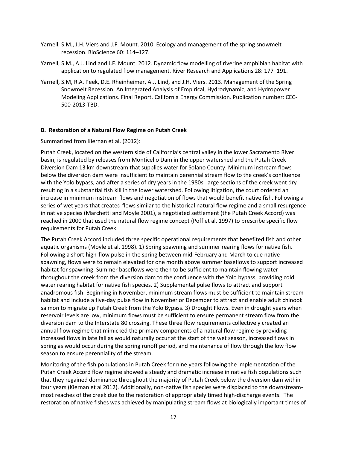- Yarnell, S.M., J.H. Viers and J.F. Mount. 2010. Ecology and management of the spring snowmelt recession. BioScience 60: 114–127.
- Yarnell, S.M., A.J. Lind and J.F. Mount. 2012. Dynamic flow modelling of riverine amphibian habitat with application to regulated flow management. River Research and Applications 28: 177–191.
- Yarnell, S.M, R.A. Peek, D.E. Rheinheimer, A.J. Lind, and J.H. Viers. 2013. Management of the Spring Snowmelt Recession: An Integrated Analysis of Empirical, Hydrodynamic, and Hydropower Modeling Applications. Final Report. California Energy Commission. Publication number: CEC-500-2013-TBD.

#### **B. Restoration of a Natural Flow Regime on Putah Creek**

Summarized from Kiernan et al. (2012):

Putah Creek, located on the western side of California's central valley in the lower Sacramento River basin, is regulated by releases from Monticello Dam in the upper watershed and the Putah Creek Diversion Dam 13 km downstream that supplies water for Solano County. Minimum instream flows below the diversion dam were insufficient to maintain perennial stream flow to the creek's confluence with the Yolo bypass, and after a series of dry years in the 1980s, large sections of the creek went dry resulting in a substantial fish kill in the lower watershed. Following litigation, the court ordered an increase in minimum instream flows and negotiation of flows that would benefit native fish. Following a series of wet years that created flows similar to the historical natural flow regime and a small resurgence in native species (Marchetti and Moyle 2001), a negotiated settlement (the Putah Creek Accord) was reached in 2000 that used the natural flow regime concept (Poff et al. 1997) to prescribe specific flow requirements for Putah Creek.

The Putah Creek Accord included three specific operational requirements that benefited fish and other aquatic organisms (Moyle et al. 1998). 1) Spring spawning and summer rearing flows for native fish. Following a short high-flow pulse in the spring between mid-February and March to cue native spawning, flows were to remain elevated for one month above summer baseflows to support increased habitat for spawning. Summer baseflows were then to be sufficient to maintain flowing water throughout the creek from the diversion dam to the confluence with the Yolo bypass, providing cold water rearing habitat for native fish species. 2) Supplemental pulse flows to attract and support anadromous fish. Beginning in November, minimum stream flows must be sufficient to maintain stream habitat and include a five-day pulse flow in November or December to attract and enable adult chinook salmon to migrate up Putah Creek from the Yolo Bypass. 3) Drought Flows. Even in drought years when reservoir levels are low, minimum flows must be sufficient to ensure permanent stream flow from the diversion dam to the Interstate 80 crossing. These three flow requirements collectively created an annual flow regime that mimicked the primary components of a natural flow regime by providing increased flows in late fall as would naturally occur at the start of the wet season, increased flows in spring as would occur during the spring runoff period, and maintenance of flow through the low flow season to ensure perenniality of the stream.

Monitoring of the fish populations in Putah Creek for nine years following the implementation of the Putah Creek Accord flow regime showed a steady and dramatic increase in native fish populations such that they regained dominance throughout the majority of Putah Creek below the diversion dam within four years (Kiernan et al 2012). Additionally, non-native fish species were displaced to the downstreammost reaches of the creek due to the restoration of appropriately timed high-discharge events. The restoration of native fishes was achieved by manipulating stream flows at biologically important times of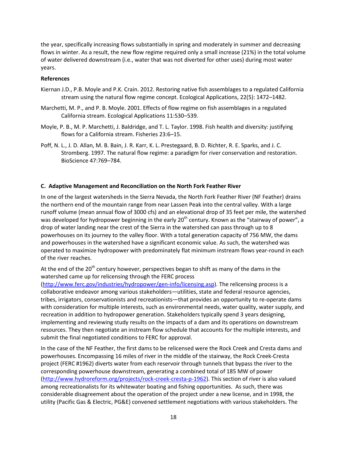the year, specifically increasing flows substantially in spring and moderately in summer and decreasing flows in winter. As a result, the new flow regime required only a small increase (21%) in the total volume of water delivered downstream (i.e., water that was not diverted for other uses) during most water years.

#### **References**

- Kiernan J.D., P.B. Moyle and P.K. Crain. 2012. Restoring native fish assemblages to a regulated California stream using the natural flow regime concept. Ecological Applications, 22(5): 1472–1482.
- Marchetti, M. P., and P. B. Moyle. 2001. Effects of flow regime on fish assemblages in a regulated California stream. Ecological Applications 11:530–539.
- Moyle, P. B., M. P. Marchetti, J. Baldridge, and T. L. Taylor. 1998. Fish health and diversity: justifying flows for a California stream. Fisheries 23:6–15.
- Poff, N. L., J. D. Allan, M. B. Bain, J. R. Karr, K. L. Prestegaard, B. D. Richter, R. E. Sparks, and J. C. Stromberg. 1997. The natural flow regime: a paradigm for river conservation and restoration. BioScience 47:769–784.

#### **C. Adaptive Management and Reconciliation on the North Fork Feather River**

In one of the largest watersheds in the Sierra Nevada, the North Fork Feather River (NF Feather) drains the northern end of the mountain range from near Lassen Peak into the central valley. With a large runoff volume (mean annual flow of 3000 cfs) and an elevational drop of 35 feet per mile, the watershed was developed for hydropower beginning in the early  $20<sup>th</sup>$  century. Known as the "stairway of power", a drop of water landing near the crest of the Sierra in the watershed can pass through up to 8 powerhouses on its journey to the valley floor. With a total generation capacity of 756 MW, the dams and powerhouses in the watershed have a significant economic value. As such, the watershed was operated to maximize hydropower with predominately flat minimum instream flows year-round in each of the river reaches.

At the end of the 20<sup>th</sup> century however, perspectives began to shift as many of the dams in the watershed came up for relicensing through the FERC process

[\(http://www.ferc.gov/industries/hydropower/gen-info/licensing.asp\)](http://www.ferc.gov/industries/hydropower/gen-info/licensing.asp). The relicensing process is a collaborative endeavor among various stakeholders—utilities, state and federal resource agencies, tribes, irrigators, conservationists and recreationists—that provides an opportunity to re-operate dams with consideration for multiple interests, such as environmental needs, water quality, water supply, and recreation in addition to hydropower generation. Stakeholders typically spend 3 years designing, implementing and reviewing study results on the impacts of a dam and its operations on downstream resources. They then negotiate an instream flow schedule that accounts for the multiple interests, and submit the final negotiated conditions to FERC for approval.

In the case of the NF Feather, the first dams to be relicensed were the Rock Creek and Cresta dams and powerhouses. Encompassing 16 miles of river in the middle of the stairway, the Rock Creek-Cresta project (FERC #1962) diverts water from each reservoir through tunnels that bypass the river to the corresponding powerhouse downstream, generating a combined total of 185 MW of power [\(http://www.hydroreform.org/projects/rock-creek-cresta-p-1962\)](http://www.hydroreform.org/projects/rock-creek-cresta-p-1962). This section of river is also valued among recreationalists for its whitewater boating and fishing opportunities. As such, there was considerable disagreement about the operation of the project under a new license, and in 1998, the utility (Pacific Gas & Electric, PG&E) convened settlement negotiations with various stakeholders. The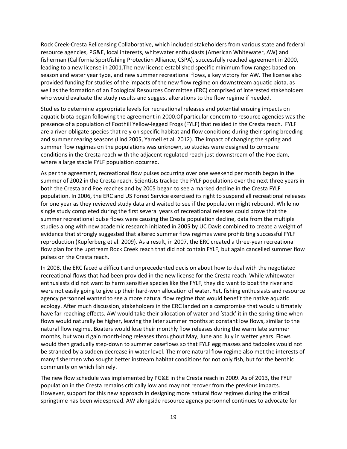Rock Creek-Cresta Relicensing Collaborative, which included stakeholders from various state and federal resource agencies, PG&E, local interests, whitewater enthusiasts (American Whitewater, AW) and fisherman (California Sportfishing Protection Alliance, CSPA), successfully reached agreement in 2000, leading to a new license in 2001.The new license established specific minimum flow ranges based on season and water year type, and new summer recreational flows, a key victory for AW. The license also provided funding for studies of the impacts of the new flow regime on downstream aquatic biota, as well as the formation of an Ecological Resources Committee (ERC) comprised of interested stakeholders who would evaluate the study results and suggest alterations to the flow regime if needed.

Studies to determine appropriate levels for recreational releases and potential ensuing impacts on aquatic biota began following the agreement in 2000.Of particular concern to resource agencies was the presence of a population of Foothill Yellow-legged Frogs (FYLF) that resided in the Cresta reach. FYLF are a river-obligate species that rely on specific habitat and flow conditions during their spring breeding and summer rearing seasons (Lind 2005, Yarnell et al. 2012). The impact of changing the spring and summer flow regimes on the populations was unknown, so studies were designed to compare conditions in the Cresta reach with the adjacent regulated reach just downstream of the Poe dam, where a large stable FYLF population occurred.

As per the agreement, recreational flow pulses occurring over one weekend per month began in the summer of 2002 in the Cresta reach. Scientists tracked the FYLF populations over the next three years in both the Cresta and Poe reaches and by 2005 began to see a marked decline in the Cresta FYLF population. In 2006, the ERC and US Forest Service exercised its right to suspend all recreational releases for one year as they reviewed study data and waited to see if the population might rebound. While no single study completed during the first several years of recreational releases could prove that the summer recreational pulse flows were causing the Cresta population decline, data from the multiple studies along with new academic research initiated in 2005 by UC Davis combined to create a weight of evidence that strongly suggested that altered summer flow regimes were prohibiting successful FYLF reproduction (Kupferberg et al. 2009). As a result, in 2007, the ERC created a three-year recreational flow plan for the upstream Rock Creek reach that did not contain FYLF, but again cancelled summer flow pulses on the Cresta reach.

In 2008, the ERC faced a difficult and unprecedented decision about how to deal with the negotiated recreational flows that had been provided in the new license for the Cresta reach. While whitewater enthusiasts did not want to harm sensitive species like the FYLF, they did want to boat the river and were not easily going to give up their hard-won allocation of water. Yet, fishing enthusiasts and resource agency personnel wanted to see a more natural flow regime that would benefit the native aquatic ecology. After much discussion, stakeholders in the ERC landed on a compromise that would ultimately have far-reaching effects. AW would take their allocation of water and 'stack' it in the spring time when flows would naturally be higher, leaving the later summer months at constant low flows, similar to the natural flow regime. Boaters would lose their monthly flow releases during the warm late summer months, but would gain month-long releases throughout May, June and July in wetter years. Flows would then gradually step-down to summer baseflows so that FYLF egg masses and tadpoles would not be stranded by a sudden decrease in water level. The more natural flow regime also met the interests of many fishermen who sought better instream habitat conditions for not only fish, but for the benthic community on which fish rely.

The new flow schedule was implemented by PG&E in the Cresta reach in 2009. As of 2013, the FYLF population in the Cresta remains critically low and may not recover from the previous impacts. However, support for this new approach in designing more natural flow regimes during the critical springtime has been widespread. AW alongside resource agency personnel continues to advocate for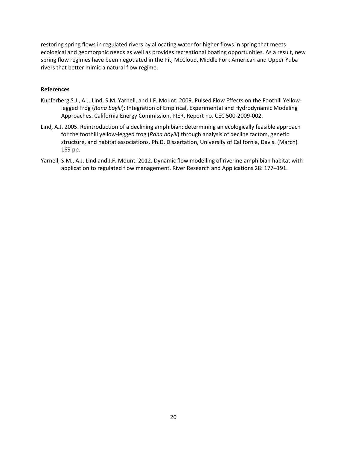restoring spring flows in regulated rivers by allocating water for higher flows in spring that meets ecological and geomorphic needs as well as provides recreational boating opportunities. As a result, new spring flow regimes have been negotiated in the Pit, McCloud, Middle Fork American and Upper Yuba rivers that better mimic a natural flow regime.

### **References**

- Kupferberg S.J., A.J. Lind, S.M. Yarnell, and J.F. Mount. 2009. Pulsed Flow Effects on the Foothill Yellowlegged Frog (*Rana boylii*): Integration of Empirical, Experimental and Hydrodynamic Modeling Approaches. California Energy Commission, PIER. Report no. CEC 500-2009-002.
- Lind, A.J. 2005. Reintroduction of a declining amphibian: determining an ecologically feasible approach for the foothill yellow-legged frog (*Rana boylii*) through analysis of decline factors, genetic structure, and habitat associations. Ph.D. Dissertation, University of California, Davis. (March) 169 pp.
- Yarnell, S.M., A.J. Lind and J.F. Mount. 2012. Dynamic flow modelling of riverine amphibian habitat with application to regulated flow management. River Research and Applications 28: 177–191.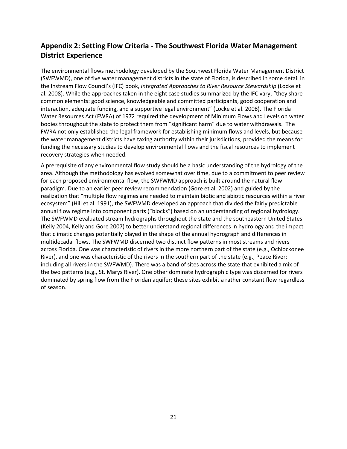# **Appendix 2: Setting Flow Criteria - The Southwest Florida Water Management District Experience**

The environmental flows methodology developed by the Southwest Florida Water Management District (SWFWMD), one of five water management districts in the state of Florida, is described in some detail in the Instream Flow Council's (IFC) book, *Integrated Approaches to River Resource Stewardship* (Locke et al. 2008). While the approaches taken in the eight case studies summarized by the IFC vary, "they share common elements: good science, knowledgeable and committed participants, good cooperation and interaction, adequate funding, and a supportive legal environment" (Locke et al. 2008). The Florida Water Resources Act (FWRA) of 1972 required the development of Minimum Flows and Levels on water bodies throughout the state to protect them from "significant harm" due to water withdrawals. The FWRA not only established the legal framework for establishing minimum flows and levels, but because the water management districts have taxing authority within their jurisdictions, provided the means for funding the necessary studies to develop environmental flows and the fiscal resources to implement recovery strategies when needed.

A prerequisite of any environmental flow study should be a basic understanding of the hydrology of the area. Although the methodology has evolved somewhat over time, due to a commitment to peer review for each proposed environmental flow, the SWFWMD approach is built around the natural flow paradigm. Due to an earlier peer review recommendation (Gore et al. 2002) and guided by the realization that "multiple flow regimes are needed to maintain biotic and abiotic resources within a river ecosystem" (Hill et al. 1991), the SWFWMD developed an approach that divided the fairly predictable annual flow regime into component parts ("blocks") based on an understanding of regional hydrology. The SWFWMD evaluated stream hydrographs throughout the state and the southeastern United States (Kelly 2004, Kelly and Gore 2007) to better understand regional differences in hydrology and the impact that climatic changes potentially played in the shape of the annual hydrograph and differences in multidecadal flows. The SWFWMD discerned two distinct flow patterns in most streams and rivers across Florida. One was characteristic of rivers in the more northern part of the state (e.g., Ochlockonee River), and one was characteristic of the rivers in the southern part of the state (e.g., Peace River; including all rivers in the SWFWMD). There was a band of sites across the state that exhibited a mix of the two patterns (e.g., St. Marys River). One other dominate hydrographic type was discerned for rivers dominated by spring flow from the Floridan aquifer; these sites exhibit a rather constant flow regardless of season.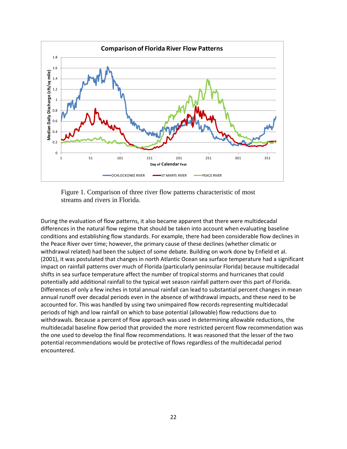

Figure 1. Comparison of three river flow patterns characteristic of most streams and rivers in Florida.

During the evaluation of flow patterns, it also became apparent that there were multidecadal differences in the natural flow regime that should be taken into account when evaluating baseline conditions and establishing flow standards. For example, there had been considerable flow declines in the Peace River over time; however, the primary cause of these declines (whether climatic or withdrawal related) had been the subject of some debate. Building on work done by Enfield et al. (2001), it was postulated that changes in north Atlantic Ocean sea surface temperature had a significant impact on rainfall patterns over much of Florida (particularly peninsular Florida) because multidecadal shifts in sea surface temperature affect the number of tropical storms and hurricanes that could potentially add additional rainfall to the typical wet season rainfall pattern over this part of Florida. Differences of only a few inches in total annual rainfall can lead to substantial percent changes in mean annual runoff over decadal periods even in the absence of withdrawal impacts, and these need to be accounted for. This was handled by using two unimpaired flow records representing multidecadal periods of high and low rainfall on which to base potential (allowable) flow reductions due to withdrawals. Because a percent of flow approach was used in determining allowable reductions, the multidecadal baseline flow period that provided the more restricted percent flow recommendation was the one used to develop the final flow recommendations. It was reasoned that the lesser of the two potential recommendations would be protective of flows regardless of the multidecadal period encountered.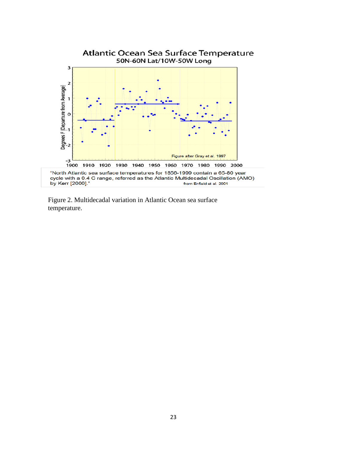

Figure 2. Multidecadal variation in Atlantic Ocean sea surface temperature.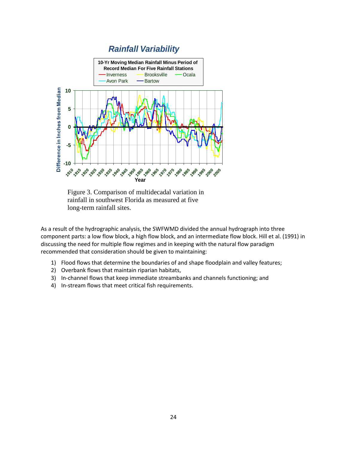

Figure 3. Comparison of multidecadal variation in rainfall in southwest Florida as measured at five long-term rainfall sites.

As a result of the hydrographic analysis, the SWFWMD divided the annual hydrograph into three component parts: a low flow block, a high flow block, and an intermediate flow block. Hill et al. (1991) in discussing the need for multiple flow regimes and in keeping with the natural flow paradigm recommended that consideration should be given to maintaining:

- 1) Flood flows that determine the boundaries of and shape floodplain and valley features;
- 2) Overbank flows that maintain riparian habitats,
- 3) In-channel flows that keep immediate streambanks and channels functioning; and
- 4) In-stream flows that meet critical fish requirements.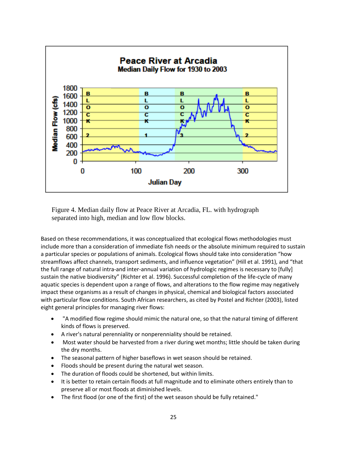

Figure 4. Median daily flow at Peace River at Arcadia, FL. with hydrograph separated into high, median and low flow blocks.

Based on these recommendations, it was conceptualized that ecological flows methodologies must include more than a consideration of immediate fish needs or the absolute minimum required to sustain a particular species or populations of animals. Ecological flows should take into consideration "how streamflows affect channels, transport sediments, and influence vegetation" (Hill et al. 1991), and "that the full range of natural intra-and inter-annual variation of hydrologic regimes is necessary to [fully] sustain the native biodiversity" (Richter et al. 1996). Successful completion of the life-cycle of many aquatic species is dependent upon a range of flows, and alterations to the flow regime may negatively impact these organisms as a result of changes in physical, chemical and biological factors associated with particular flow conditions. South African researchers, as cited by Postel and Richter (2003), listed eight general principles for managing river flows:

- "A modified flow regime should mimic the natural one, so that the natural timing of different kinds of flows is preserved.
- A river's natural perenniality or nonperenniality should be retained.
- Most water should be harvested from a river during wet months; little should be taken during the dry months.
- The seasonal pattern of higher baseflows in wet season should be retained.
- Floods should be present during the natural wet season.
- The duration of floods could be shortened, but within limits.
- It is better to retain certain floods at full magnitude and to eliminate others entirely than to preserve all or most floods at diminished levels.
- The first flood (or one of the first) of the wet season should be fully retained."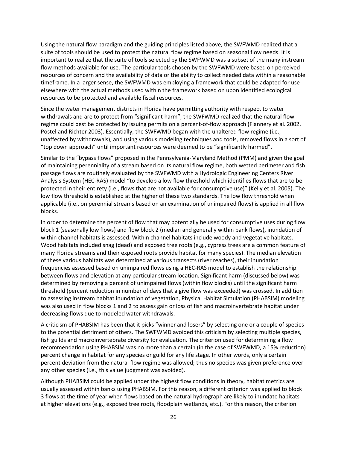Using the natural flow paradigm and the guiding principles listed above, the SWFWMD realized that a suite of tools should be used to protect the natural flow regime based on seasonal flow needs. It is important to realize that the suite of tools selected by the SWFWMD was a subset of the many instream flow methods available for use. The particular tools chosen by the SWFWMD were based on perceived resources of concern and the availability of data or the ability to collect needed data within a reasonable timeframe. In a larger sense, the SWFWMD was employing a framework that could be adapted for use elsewhere with the actual methods used within the framework based on upon identified ecological resources to be protected and available fiscal resources.

Since the water management districts in Florida have permitting authority with respect to water withdrawals and are to protect from "significant harm", the SWFWMD realized that the natural flow regime could best be protected by issuing permits on a percent-of-flow approach (Flannery et al. 2002, Postel and Richter 2003). Essentially, the SWFWMD began with the unaltered flow regime (i.e., unaffected by withdrawals), and using various modeling techniques and tools, removed flows in a sort of "top down approach" until important resources were deemed to be "significantly harmed".

Similar to the "bypass flows" proposed in the Pennsylvania-Maryland Method (PMM) and given the goal of maintaining perenniality of a stream based on its natural flow regime, both wetted perimeter and fish passage flows are routinely evaluated by the SWFWMD with a Hydrologic Engineering Centers River Analysis System (HEC-RAS) model "to develop a low flow threshold which identifies flows that are to be protected in their entirety (i.e., flows that are not available for consumptive use)" (Kelly et al. 2005). The low flow threshold is established at the higher of these two standards. The low flow threshold when applicable (i.e., on perennial streams based on an examination of unimpaired flows) is applied in all flow blocks.

In order to determine the percent of flow that may potentially be used for consumptive uses during flow block 1 (seasonally low flows) and flow block 2 (median and generally within bank flows), inundation of within channel habitats is assessed. Within channel habitats include woody and vegetative habitats. Wood habitats included snag (dead) and exposed tree roots (e.g., cypress trees are a common feature of many Florida streams and their exposed roots provide habitat for many species). The median elevation of these various habitats was determined at various transects (river reaches), their inundation frequencies assessed based on unimpaired flows using a HEC-RAS model to establish the relationship between flows and elevation at any particular stream location. Significant harm (discussed below) was determined by removing a percent of unimpaired flows (within flow blocks) until the significant harm threshold (percent reduction in number of days that a give flow was exceeded) was crossed. In addition to assessing instream habitat inundation of vegetation, Physical Habitat Simulation (PHABSIM) modeling was also used in flow blocks 1 and 2 to assess gain or loss of fish and macroinvertebrate habitat under decreasing flows due to modeled water withdrawals.

A criticism of PHABSIM has been that it picks "winner and losers" by selecting one or a couple of species to the potential detriment of others. The SWFWMD avoided this criticism by selecting multiple species, fish guilds and macroinvertebrate diversity for evaluation. The criterion used for determining a flow recommendation using PHABSIM was no more than a certain (in the case of SWFWMD, a 15% reduction) percent change in habitat for any species or guild for any life stage. In other words, only a certain percent deviation from the natural flow regime was allowed; thus no species was given preference over any other species (i.e., this value judgment was avoided).

Although PHABSIM could be applied under the highest flow conditions in theory, habitat metrics are usually assessed within banks using PHABSIM. For this reason, a different criterion was applied to block 3 flows at the time of year when flows based on the natural hydrograph are likely to inundate habitats at higher elevations (e.g., exposed tree roots, floodplain wetlands, etc.). For this reason, the criterion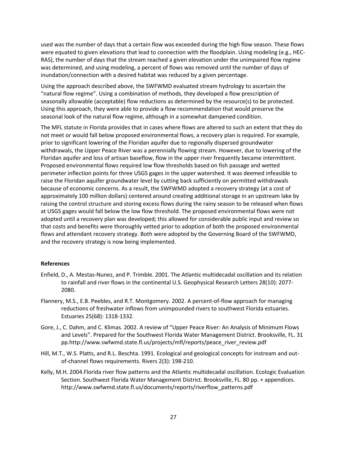used was the number of days that a certain flow was exceeded during the high flow season. These flows were equated to given elevations that lead to connection with the floodplain. Using modeling (e.g., HEC-RAS), the number of days that the stream reached a given elevation under the unimpaired flow regime was determined, and using modeling, a percent of flows was removed until the number of days of inundation/connection with a desired habitat was reduced by a given percentage.

Using the approach described above, the SWFWMD evaluated stream hydrology to ascertain the "natural flow regime". Using a combination of methods, they developed a flow prescription of seasonally allowable (acceptable) flow reductions as determined by the resource(s) to be protected. Using this approach, they were able to provide a flow recommendation that would preserve the seasonal look of the natural flow regime, although in a somewhat dampened condition.

The MFL statute in Florida provides that in cases where flows are altered to such an extent that they do not meet or would fall below proposed environmental flows, a recovery plan is required. For example, prior to significant lowering of the Floridan aquifer due to regionally dispersed groundwater withdrawals, the Upper Peace River was a perennially flowing stream. However, due to lowering of the Floridan aquifer and loss of artisan baseflow, flow in the upper river frequently became intermittent. Proposed environmental flows required low flow thresholds based on fish passage and wetted perimeter inflection points for three USGS gages in the upper watershed. It was deemed infeasible to raise the Floridan aquifer groundwater level by cutting back sufficiently on permitted withdrawals because of economic concerns. As a result, the SWFWMD adopted a recovery strategy (at a cost of approximately 100 million dollars) centered around creating additional storage in an upstream lake by raising the control structure and storing excess flows during the rainy season to be released when flows at USGS gages would fall below the low flow threshold. The proposed environmental flows were not adopted until a recovery plan was developed; this allowed for considerable public input and review so that costs and benefits were thoroughly vetted prior to adoption of both the proposed environmental flows and attendant recovery strategy. Both were adopted by the Governing Board of the SWFWMD, and the recovery strategy is now being implemented.

#### **References**

- Enfield, D., A. Mestas-Nunez, and P. Trimble. 2001. The Atlantic multidecadal oscillation and its relation to rainfall and river flows in the continental U.S. Geophysical Research Letters 28(10): 2077- 2080.
- Flannery, M.S., E.B. Peebles, and R.T. Montgomery. 2002. A percent-of-flow approach for managing reductions of freshwater inflows from unimpounded rivers to southwest Florida estuaries. Estuaries 25(68): 1318-1332.
- Gore, J., C. Dahm, and C. Klimas. 2002. A review of "Upper Peace River: An Analysis of Minimum Flows and Levels". Prepared for the Southwest Florida Water Management District. Brooksville, FL. 31 pp.http://www.swfwmd.state.fl.us/projects/mfl/reports/peace\_river\_review.pdf
- Hill, M.T., W.S. Platts, and R.L. Beschta. 1991. Ecological and geological concepts for instream and outof-channel flows requirements. Rivers 2(3): 198-210.
- Kelly, M.H. 2004.Florida river flow patterns and the Atlantic multidecadal oscillation. Ecologic Evaluation Section. Southwest Florida Water Management District. Brooksville, FL. 80 pp. + appendices. http://www.swfwmd.state.fl.us/documents/reports/riverflow\_patterns.pdf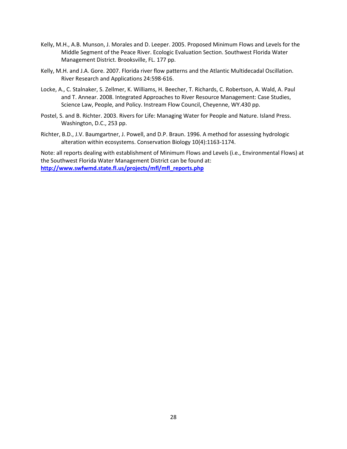- Kelly, M.H., A.B. Munson, J. Morales and D. Leeper. 2005. Proposed Minimum Flows and Levels for the Middle Segment of the Peace River. Ecologic Evaluation Section. Southwest Florida Water Management District. Brooksville, FL. 177 pp.
- Kelly, M.H. and J.A. Gore. 2007. Florida river flow patterns and the Atlantic Multidecadal Oscillation. River Research and Applications 24:598-616.
- Locke, A., C. Stalnaker, S. Zellmer, K. Williams, H. Beecher, T. Richards, C. Robertson, A. Wald, A. Paul and T. Annear. 2008. Integrated Approaches to River Resource Management: Case Studies, Science Law, People, and Policy. Instream Flow Council, Cheyenne, WY.430 pp.
- Postel, S. and B. Richter. 2003. Rivers for Life: Managing Water for People and Nature. Island Press. Washington, D.C., 253 pp.
- Richter, B.D., J.V. Baumgartner, J. Powell, and D.P. Braun. 1996. A method for assessing hydrologic alteration within ecosystems. Conservation Biology 10(4):1163-1174.

Note: all reports dealing with establishment of Minimum Flows and Levels (i.e., Environmental Flows) at the Southwest Florida Water Management District can be found at: **[http://www.swfwmd.state.fl.us/projects/mfl/mfl\\_reports.php](http://www.swfwmd.state.fl.us/projects/mfl/mfl_reports.php)**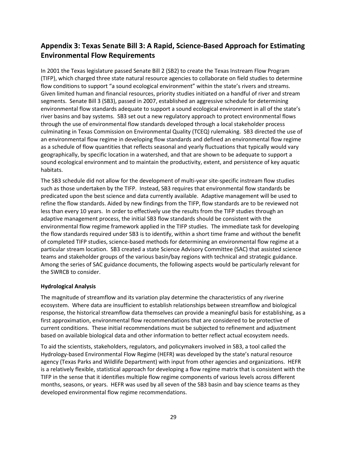# **Appendix 3: Texas Senate Bill 3: A Rapid, Science-Based Approach for Estimating Environmental Flow Requirements**

In 2001 the Texas legislature passed Senate Bill 2 (SB2) to create the Texas Instream Flow Program (TIFP), which charged three state natural resource agencies to collaborate on field studies to determine flow conditions to support "a sound ecological environment" within the state's rivers and streams. Given limited human and financial resources, priority studies initiated on a handful of river and stream segments. Senate Bill 3 (SB3), passed in 2007, established an aggressive schedule for determining environmental flow standards adequate to support a sound ecological environment in all of the state's river basins and bay systems. SB3 set out a new regulatory approach to protect environmental flows through the use of environmental flow standards developed through a local stakeholder process culminating in Texas Commission on Environmental Quality (TCEQ) rulemaking. SB3 directed the use of an environmental flow regime in developing flow standards and defined an environmental flow regime as a schedule of flow quantities that reflects seasonal and yearly fluctuations that typically would vary geographically, by specific location in a watershed, and that are shown to be adequate to support a sound ecological environment and to maintain the productivity, extent, and persistence of key aquatic habitats.

The SB3 schedule did not allow for the development of multi-year site-specific instream flow studies such as those undertaken by the TIFP. Instead, SB3 requires that environmental flow standards be predicated upon the best science and data currently available. Adaptive management will be used to refine the flow standards. Aided by new findings from the TIFP, flow standards are to be reviewed not less than every 10 years. In order to effectively use the results from the TIFP studies through an adaptive management process, the initial SB3 flow standards should be consistent with the environmental flow regime framework applied in the TIFP studies. The immediate task for developing the flow standards required under SB3 is to identify, within a short time frame and without the benefit of completed TIFP studies, science-based methods for determining an environmental flow regime at a particular stream location. SB3 created a state Science Advisory Committee (SAC) that assisted science teams and stakeholder groups of the various basin/bay regions with technical and strategic guidance. Among the series of SAC guidance documents, the following aspects would be particularly relevant for the SWRCB to consider.

### **Hydrological Analysis**

The magnitude of streamflow and its variation play determine the characteristics of any riverine ecosystem. Where data are insufficient to establish relationships between streamflow and biological response, the historical streamflow data themselves can provide a meaningful basis for establishing, as a first approximation, environmental flow recommendations that are considered to be protective of current conditions. These initial recommendations must be subjected to refinement and adjustment based on available biological data and other information to better reflect actual ecosystem needs.

To aid the scientists, stakeholders, regulators, and policymakers involved in SB3, a tool called the Hydrology-based Environmental Flow Regime (HEFR) was developed by the state's natural resource agency (Texas Parks and Wildlife Department) with input from other agencies and organizations. HEFR is a relatively flexible, statistical approach for developing a flow regime matrix that is consistent with the TIFP in the sense that it identifies multiple flow regime components of various levels across different months, seasons, or years. HEFR was used by all seven of the SB3 basin and bay science teams as they developed environmental flow regime recommendations.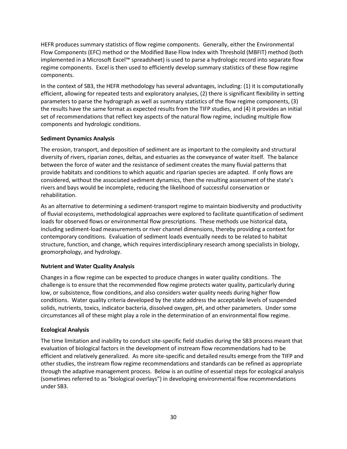HEFR produces summary statistics of flow regime components. Generally, either the Environmental Flow Components (EFC) method or the Modified Base Flow Index with Threshold (MBFIT) method (both implemented in a Microsoft Excel™ spreadsheet) is used to parse a hydrologic record into separate flow regime components. Excel is then used to efficiently develop summary statistics of these flow regime components.

In the context of SB3, the HEFR methodology has several advantages, including: (1) it is computationally efficient, allowing for repeated tests and exploratory analyses, (2) there is significant flexibility in setting parameters to parse the hydrograph as well as summary statistics of the flow regime components, (3) the results have the same format as expected results from the TIFP studies, and (4) it provides an initial set of recommendations that reflect key aspects of the natural flow regime, including multiple flow components and hydrologic conditions.

### **Sediment Dynamics Analysis**

The erosion, transport, and deposition of sediment are as important to the complexity and structural diversity of rivers, riparian zones, deltas, and estuaries as the conveyance of water itself. The balance between the force of water and the resistance of sediment creates the many fluvial patterns that provide habitats and conditions to which aquatic and riparian species are adapted. If only flows are considered, without the associated sediment dynamics, then the resulting assessment of the state's rivers and bays would be incomplete, reducing the likelihood of successful conservation or rehabilitation.

As an alternative to determining a sediment-transport regime to maintain biodiversity and productivity of fluvial ecosystems, methodological approaches were explored to facilitate quantification of sediment loads for observed flows or environmental flow prescriptions. These methods use historical data, including sediment-load measurements or river channel dimensions, thereby providing a context for contemporary conditions. Evaluation of sediment loads eventually needs to be related to habitat structure, function, and change, which requires interdisciplinary research among specialists in biology, geomorphology, and hydrology.

### **Nutrient and Water Quality Analysis**

Changes in a flow regime can be expected to produce changes in water quality conditions. The challenge is to ensure that the recommended flow regime protects water quality, particularly during low, or subsistence, flow conditions, and also considers water quality needs during higher flow conditions. Water quality criteria developed by the state address the acceptable levels of suspended solids, nutrients, toxics, indicator bacteria, dissolved oxygen, pH, and other parameters. Under some circumstances all of these might play a role in the determination of an environmental flow regime.

### **Ecological Analysis**

The time limitation and inability to conduct site-specific field studies during the SB3 process meant that evaluation of biological factors in the development of instream flow recommendations had to be efficient and relatively generalized. As more site-specific and detailed results emerge from the TIFP and other studies, the instream flow regime recommendations and standards can be refined as appropriate through the adaptive management process. Below is an outline of essential steps for ecological analysis (sometimes referred to as "biological overlays") in developing environmental flow recommendations under SB3.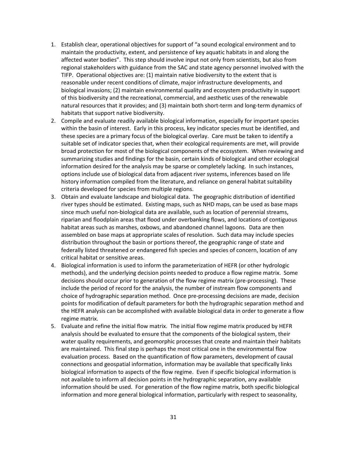- 1. Establish clear, operational objectives for support of "a sound ecological environment and to maintain the productivity, extent, and persistence of key aquatic habitats in and along the affected water bodies". This step should involve input not only from scientists, but also from regional stakeholders with guidance from the SAC and state agency personnel involved with the TIFP. Operational objectives are: (1) maintain native biodiversity to the extent that is reasonable under recent conditions of climate, major infrastructure developments, and biological invasions; (2) maintain environmental quality and ecosystem productivity in support of this biodiversity and the recreational, commercial, and aesthetic uses of the renewable natural resources that it provides; and (3) maintain both short-term and long-term dynamics of habitats that support native biodiversity.
- 2. Compile and evaluate readily available biological information, especially for important species within the basin of interest. Early in this process, key indicator species must be identified, and these species are a primary focus of the biological overlay. Care must be taken to identify a suitable set of indicator species that, when their ecological requirements are met, will provide broad protection for most of the biological components of the ecosystem. When reviewing and summarizing studies and findings for the basin, certain kinds of biological and other ecological information desired for the analysis may be sparse or completely lacking. In such instances, options include use of biological data from adjacent river systems, inferences based on life history information compiled from the literature, and reliance on general habitat suitability criteria developed for species from multiple regions.
- 3. Obtain and evaluate landscape and biological data. The geographic distribution of identified river types should be estimated. Existing maps, such as NHD maps, can be used as base maps since much useful non-biological data are available, such as location of perennial streams, riparian and floodplain areas that flood under overbanking flows, and locations of contiguous habitat areas such as marshes, oxbows, and abandoned channel lagoons. Data are then assembled on base maps at appropriate scales of resolution. Such data may include species distribution throughout the basin or portions thereof, the geographic range of state and federally listed threatened or endangered fish species and species of concern, location of any critical habitat or sensitive areas.
- 4. Biological information is used to inform the parameterization of HEFR (or other hydrologic methods), and the underlying decision points needed to produce a flow regime matrix. Some decisions should occur prior to generation of the flow regime matrix (pre-processing). These include the period of record for the analysis, the number of instream flow components and choice of hydrographic separation method. Once pre-processing decisions are made, decision points for modification of default parameters for both the hydrographic separation method and the HEFR analysis can be accomplished with available biological data in order to generate a flow regime matrix.
- 5. Evaluate and refine the initial flow matrix. The initial flow regime matrix produced by HEFR analysis should be evaluated to ensure that the components of the biological system, their water quality requirements, and geomorphic processes that create and maintain their habitats are maintained. This final step is perhaps the most critical one in the environmental flow evaluation process. Based on the quantification of flow parameters, development of causal connections and geospatial information, information may be available that specifically links biological information to aspects of the flow regime. Even if specific biological information is not available to inform all decision points in the hydrographic separation, any available information should be used. For generation of the flow regime matrix, both specific biological information and more general biological information, particularly with respect to seasonality,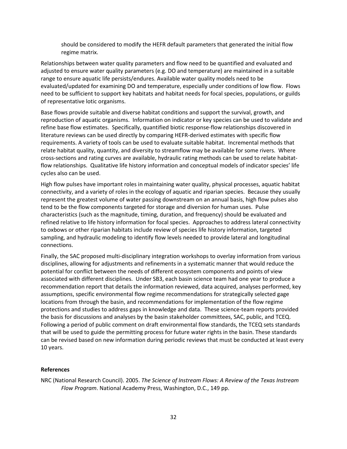should be considered to modify the HEFR default parameters that generated the initial flow regime matrix.

Relationships between water quality parameters and flow need to be quantified and evaluated and adjusted to ensure water quality parameters (e.g. DO and temperature) are maintained in a suitable range to ensure aquatic life persists/endures. Available water quality models need to be evaluated/updated for examining DO and temperature, especially under conditions of low flow. Flows need to be sufficient to support key habitats and habitat needs for focal species, populations, or guilds of representative lotic organisms.

Base flows provide suitable and diverse habitat conditions and support the survival, growth, and reproduction of aquatic organisms. Information on indicator or key species can be used to validate and refine base flow estimates. Specifically, quantified biotic response-flow relationships discovered in literature reviews can be used directly by comparing HEFR-derived estimates with specific flow requirements. A variety of tools can be used to evaluate suitable habitat. Incremental methods that relate habitat quality, quantity, and diversity to streamflow may be available for some rivers. Where cross-sections and rating curves are available, hydraulic rating methods can be used to relate habitatflow relationships. Qualitative life history information and conceptual models of indicator species' life cycles also can be used.

High flow pulses have important roles in maintaining water quality, physical processes, aquatic habitat connectivity, and a variety of roles in the ecology of aquatic and riparian species. Because they usually represent the greatest volume of water passing downstream on an annual basis, high flow pulses also tend to be the flow components targeted for storage and diversion for human uses. Pulse characteristics (such as the magnitude, timing, duration, and frequency) should be evaluated and refined relative to life history information for focal species. Approaches to address lateral connectivity to oxbows or other riparian habitats include review of species life history information, targeted sampling, and hydraulic modeling to identify flow levels needed to provide lateral and longitudinal connections.

Finally, the SAC proposed multi-disciplinary integration workshops to overlay information from various disciplines, allowing for adjustments and refinements in a systematic manner that would reduce the potential for conflict between the needs of different ecosystem components and points of view associated with different disciplines. Under SB3, each basin science team had one year to produce a recommendation report that details the information reviewed, data acquired, analyses performed, key assumptions, specific environmental flow regime recommendations for strategically selected gage locations from through the basin, and recommendations for implementation of the flow regime protections and studies to address gaps in knowledge and data. These science-team reports provided the basis for discussions and analyses by the basin stakeholder committees, SAC, public, and TCEQ. Following a period of public comment on draft environmental flow standards, the TCEQ sets standards that will be used to guide the permitting process for future water rights in the basin. These standards can be revised based on new information during periodic reviews that must be conducted at least every 10 years.

### **References**

NRC (National Research Council). 2005. *The Science of Instream Flows: A Review of the Texas Instream Flow Program*. National Academy Press, Washington, D.C., 149 pp.